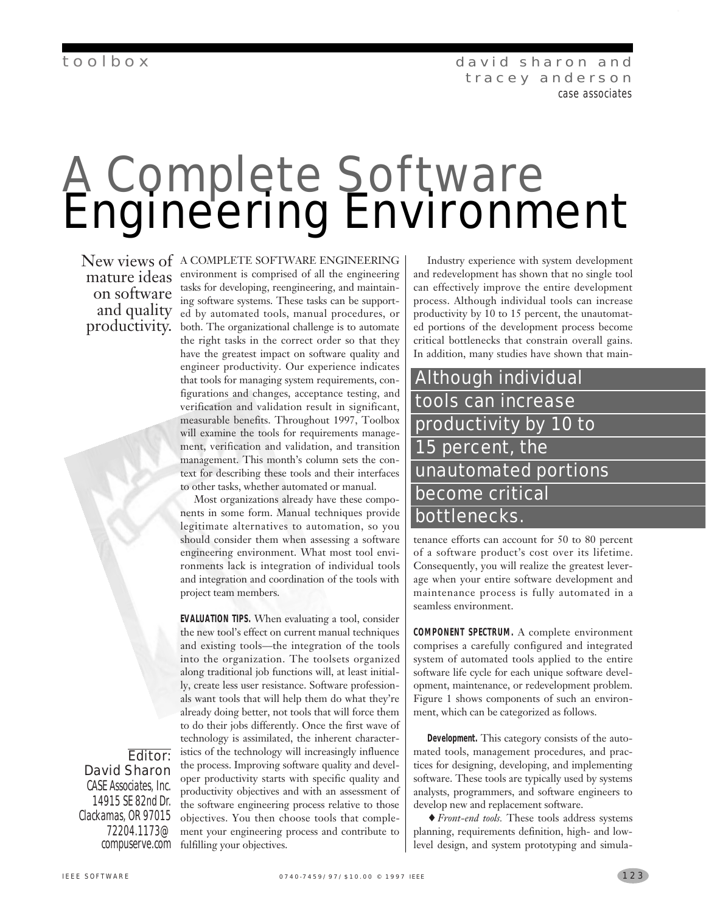# A Complete Software Engineering Environment

mature ideas on software and quality productivity.

New views of A COMPLETE SOFTWARE ENGINEERING environment is comprised of all the engineering

tasks for developing, reengineering, and maintaining software systems. These tasks can be supported by automated tools, manual procedures, or both. The organizational challenge is to automate the right tasks in the correct order so that they have the greatest impact on software quality and engineer productivity. Our experience indicates that tools for managing system requirements, configurations and changes, acceptance testing, and verification and validation result in significant, measurable benefits. Throughout 1997, Toolbox will examine the tools for requirements management, verification and validation, and transition management. This month's column sets the context for describing these tools and their interfaces to other tasks, whether automated or manual.

Most organizations already have these components in some form. Manual techniques provide legitimate alternatives to automation, so you should consider them when assessing a software engineering environment. What most tool environments lack is integration of individual tools and integration and coordination of the tools with project team members.

compuserve.com fulfilling your objectives. **EVALUATION TIPS.** When evaluating a tool, consider the new tool's effect on current manual techniques and existing tools—the integration of the tools into the organization. The toolsets organized along traditional job functions will, at least initially, create less user resistance. Software professionals want tools that will help them do what they're already doing better, not tools that will force them to do their jobs differently. Once the first wave of technology is assimilated, the inherent characteristics of the technology will increasingly influence the process. Improving software quality and developer productivity starts with specific quality and productivity objectives and with an assessment of the software engineering process relative to those objectives. You then choose tools that complement your engineering process and contribute to

Industry experience with system development and redevelopment has shown that no single tool can effectively improve the entire development process. Although individual tools can increase productivity by 10 to 15 percent, the unautomated portions of the development process become critical bottlenecks that constrain overall gains. In addition, many studies have shown that main-

### Although individual tools can increase productivity by 10 to 15 percent, the unautomated portions become critical bottlenecks.

tenance efforts can account for 50 to 80 percent of a software product's cost over its lifetime. Consequently, you will realize the greatest leverage when your entire software development and maintenance process is fully automated in a seamless environment.

**COMPONENT SPECTRUM.** A complete environment comprises a carefully configured and integrated system of automated tools applied to the entire software life cycle for each unique software development, maintenance, or redevelopment problem. Figure 1 shows components of such an environment, which can be categorized as follows.

**Development.** This category consists of the automated tools, management procedures, and practices for designing, developing, and implementing software. These tools are typically used by systems analysts, programmers, and software engineers to develop new and replacement software.

♦ *Front-end tools.* These tools address systems planning, requirements definition, high- and lowlevel design, and system prototyping and simula-

#### Editor: David Sharon CASE Associates, Inc. 14915 SE 82nd Dr. Clackamas, OR 97015 72204.1173@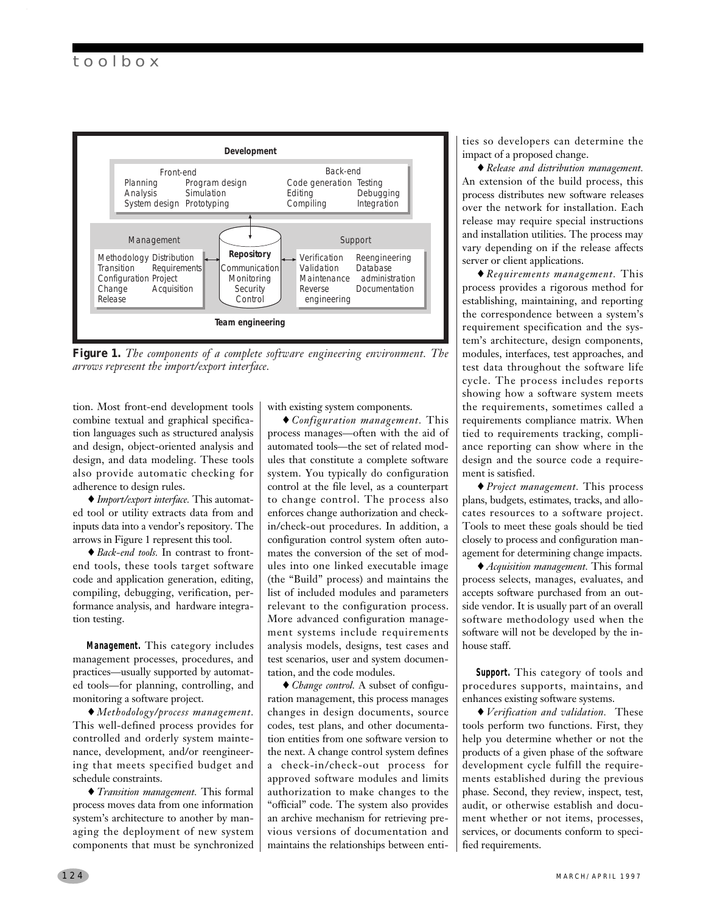#### toolbox



*Figure 1. The components of a complete software engineering environment. The arrows represent the import/export interface.*

tion. Most front-end development tools combine textual and graphical specification languages such as structured analysis and design, object-oriented analysis and design, and data modeling. These tools also provide automatic checking for adherence to design rules.

♦ *Import/export interface.* This automated tool or utility extracts data from and inputs data into a vendor's repository. The arrows in Figure 1 represent this tool.

♦ *Back-end tools.* In contrast to frontend tools, these tools target software code and application generation, editing, compiling, debugging, verification, performance analysis, and hardware integration testing.

**Management.** This category includes management processes, procedures, and practices—usually supported by automated tools—for planning, controlling, and monitoring a software project.

♦ *Methodology/process management.* This well-defined process provides for controlled and orderly system maintenance, development, and/or reengineering that meets specified budget and schedule constraints.

♦ *Transition management.* This formal process moves data from one information system's architecture to another by managing the deployment of new system components that must be synchronized with existing system components.

♦ *Configuration management.* This process manages—often with the aid of automated tools—the set of related modules that constitute a complete software system. You typically do configuration control at the file level, as a counterpart to change control. The process also enforces change authorization and checkin/check-out procedures. In addition, a configuration control system often automates the conversion of the set of modules into one linked executable image (the "Build" process) and maintains the list of included modules and parameters relevant to the configuration process. More advanced configuration management systems include requirements analysis models, designs, test cases and test scenarios, user and system documentation, and the code modules.

♦ *Change control.* A subset of configuration management, this process manages changes in design documents, source codes, test plans, and other documentation entities from one software version to the next. A change control system defines a check-in/check-out process for approved software modules and limits authorization to make changes to the "official" code. The system also provides an archive mechanism for retrieving previous versions of documentation and maintains the relationships between entities so developers can determine the impact of a proposed change.

♦ *Release and distribution management.* An extension of the build process, this process distributes new software releases over the network for installation. Each release may require special instructions and installation utilities. The process may vary depending on if the release affects server or client applications.

♦ *Requirements management.* This process provides a rigorous method for establishing, maintaining, and reporting the correspondence between a system's requirement specification and the system's architecture, design components, modules, interfaces, test approaches, and test data throughout the software life cycle. The process includes reports showing how a software system meets the requirements, sometimes called a requirements compliance matrix. When tied to requirements tracking, compliance reporting can show where in the design and the source code a requirement is satisfied.

♦ *Project management.* This process plans, budgets, estimates, tracks, and allocates resources to a software project. Tools to meet these goals should be tied closely to process and configuration management for determining change impacts.

♦ *Acquisition management.* This formal process selects, manages, evaluates, and accepts software purchased from an outside vendor. It is usually part of an overall software methodology used when the software will not be developed by the inhouse staff.

**Support.** This category of tools and procedures supports, maintains, and enhances existing software systems.

♦ *Verification and validation.* These tools perform two functions. First, they help you determine whether or not the products of a given phase of the software development cycle fulfill the requirements established during the previous phase. Second, they review, inspect, test, audit, or otherwise establish and document whether or not items, processes, services, or documents conform to specified requirements.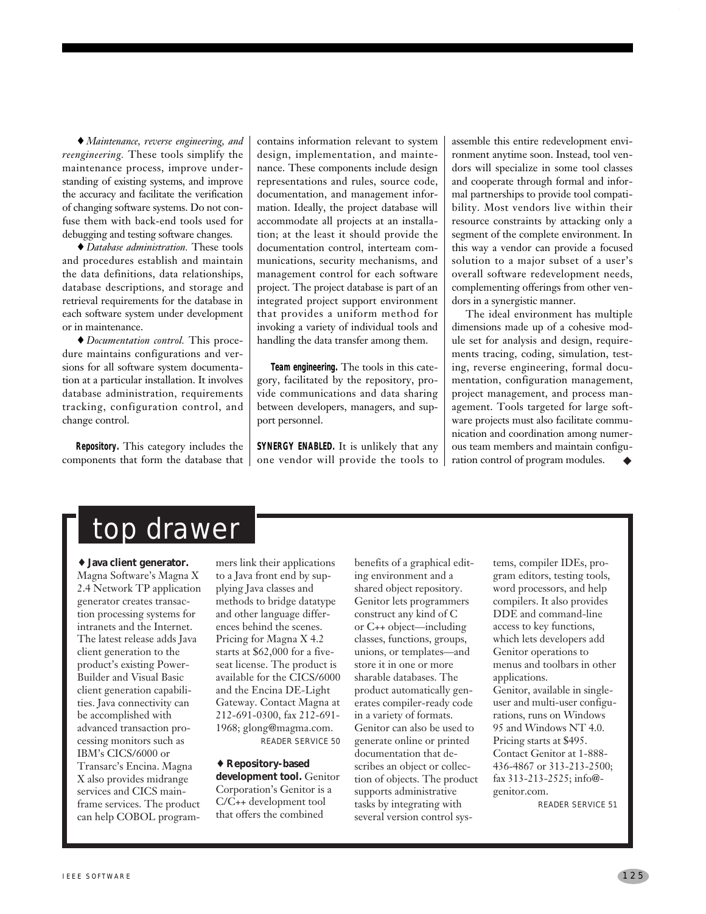♦ *Maintenance, reverse engineering, and reengineering.* These tools simplify the maintenance process, improve understanding of existing systems, and improve the accuracy and facilitate the verification of changing software systems. Do not confuse them with back-end tools used for debugging and testing software changes.

♦ *Database administration.* These tools and procedures establish and maintain the data definitions, data relationships, database descriptions, and storage and retrieval requirements for the database in each software system under development or in maintenance.

♦ *Documentation control.* This procedure maintains configurations and versions for all software system documentation at a particular installation. It involves database administration, requirements tracking, configuration control, and change control.

**Repository.** This category includes the components that form the database that contains information relevant to system design, implementation, and maintenance. These components include design representations and rules, source code, documentation, and management information. Ideally, the project database will accommodate all projects at an installation; at the least it should provide the documentation control, interteam communications, security mechanisms, and management control for each software project. The project database is part of an integrated project support environment that provides a uniform method for invoking a variety of individual tools and handling the data transfer among them.

**Team engineering.** The tools in this category, facilitated by the repository, provide communications and data sharing between developers, managers, and support personnel.

**SYNERGY ENABLED.** It is unlikely that any one vendor will provide the tools to assemble this entire redevelopment environment anytime soon. Instead, tool vendors will specialize in some tool classes and cooperate through formal and informal partnerships to provide tool compatibility. Most vendors live within their resource constraints by attacking only a segment of the complete environment. In this way a vendor can provide a focused solution to a major subset of a user's overall software redevelopment needs, complementing offerings from other vendors in a synergistic manner.

The ideal environment has multiple dimensions made up of a cohesive module set for analysis and design, requirements tracing, coding, simulation, testing, reverse engineering, formal documentation, configuration management, project management, and process management. Tools targeted for large software projects must also facilitate communication and coordination among numerous team members and maintain configuration control of program modules.

## top drawer

♦ **Java client generator.** Magna Software's Magna X 2.4 Network TP application generator creates transaction processing systems for intranets and the Internet. The latest release adds Java client generation to the product's existing Power-Builder and Visual Basic client generation capabilities. Java connectivity can be accomplished with advanced transaction processing monitors such as IBM's CICS/6000 or Transarc's Encina. Magna X also provides midrange services and CICS mainframe services. The product can help COBOL programmers link their applications to a Java front end by supplying Java classes and methods to bridge datatype and other language differences behind the scenes. Pricing for Magna X 4.2 starts at \$62,000 for a fiveseat license. The product is available for the CICS/6000 and the Encina DE-Light Gateway. Contact Magna at 212-691-0300, fax 212-691- 1968; glong@magma.com. READER SERVICE 50

♦ **Repository-based development tool.** Genitor Corporation's Genitor is a C/C++ development tool that offers the combined

benefits of a graphical editing environment and a shared object repository. Genitor lets programmers construct any kind of C or C++ object—including classes, functions, groups, unions, or templates—and store it in one or more sharable databases. The product automatically generates compiler-ready code in a variety of formats. Genitor can also be used to generate online or printed documentation that describes an object or collection of objects. The product supports administrative tasks by integrating with several version control sys-

tems, compiler IDEs, program editors, testing tools, word processors, and help compilers. It also provides DDE and command-line access to key functions, which lets developers add Genitor operations to menus and toolbars in other applications. Genitor, available in singleuser and multi-user configurations, runs on Windows 95 and Windows NT 4.0. Pricing starts at \$495. Contact Genitor at 1-888- 436-4867 or 313-213-2500; fax 313-213-2525; info@ genitor.com.

READER SERVICE 51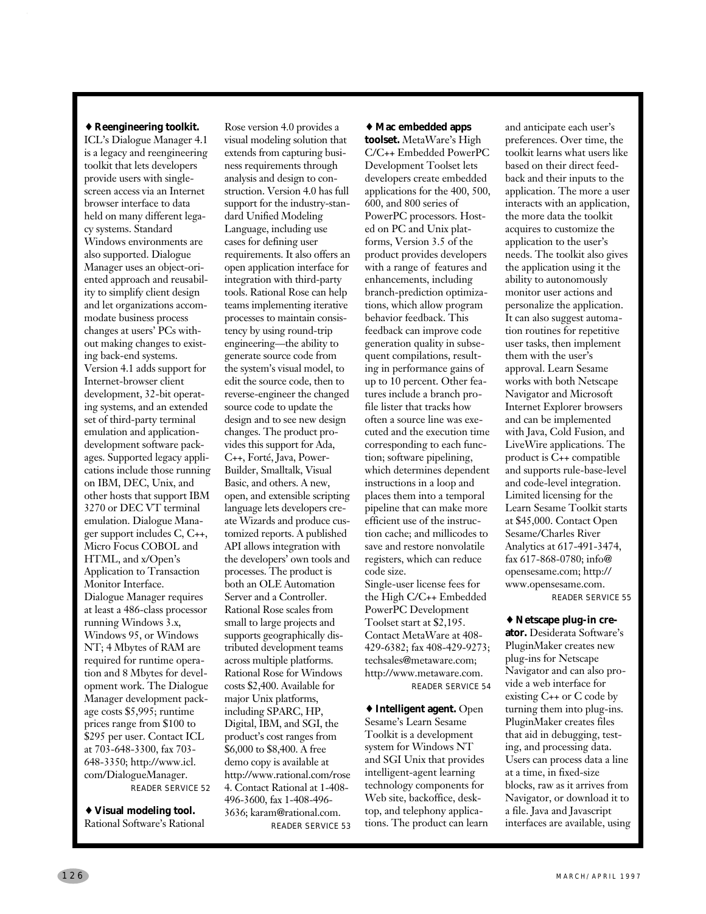#### ♦ **Reengineering toolkit.**

ICL's Dialogue Manager 4.1 is a legacy and reengineering toolkit that lets developers provide users with singlescreen access via an Internet browser interface to data held on many different legacy systems. Standard Windows environments are also supported. Dialogue Manager uses an object-oriented approach and reusability to simplify client design and let organizations accommodate business process changes at users' PCs without making changes to existing back-end systems. Version 4.1 adds support for Internet-browser client development, 32-bit operating systems, and an extended set of third-party terminal emulation and applicationdevelopment software packages. Supported legacy applications include those running on IBM, DEC, Unix, and other hosts that support IBM 3270 or DEC VT terminal emulation. Dialogue Manager support includes C, C++, Micro Focus COBOL and HTML, and x/Open's Application to Transaction Monitor Interface. Dialogue Manager requires at least a 486-class processor running Windows 3.x, Windows 95, or Windows NT; 4 Mbytes of RAM are required for runtime operation and 8 Mbytes for development work. The Dialogue Manager development package costs \$5,995; runtime prices range from \$100 to \$295 per user. Contact ICL at 703-648-3300, fax 703- 648-3350; http://www.icl. com/DialogueManager. READER SERVICE 52

♦ **Visual modeling tool.** Rational Software's Rational

Rose version 4.0 provides a visual modeling solution that extends from capturing business requirements through analysis and design to construction. Version 4.0 has full support for the industry-standard Unified Modeling Language, including use cases for defining user requirements. It also offers an open application interface for integration with third-party tools. Rational Rose can help teams implementing iterative processes to maintain consistency by using round-trip engineering—the ability to generate source code from the system's visual model, to edit the source code, then to reverse-engineer the changed source code to update the design and to see new design changes. The product provides this support for Ada, C++, Forté, Java, Power-Builder, Smalltalk, Visual Basic, and others. A new, open, and extensible scripting language lets developers create Wizards and produce customized reports. A published API allows integration with the developers' own tools and processes. The product is both an OLE Automation Server and a Controller. Rational Rose scales from small to large projects and supports geographically distributed development teams across multiple platforms. Rational Rose for Windows costs \$2,400. Available for major Unix platforms, including SPARC, HP, Digital, IBM, and SGI, the product's cost ranges from \$6,000 to \$8,400. A free demo copy is available at http://www.rational.com/rose 4. Contact Rational at 1-408- 496-3600, fax 1-408-496- 3636; karam@rational.com.

READER SERVICE 53

#### ♦ **Mac embedded apps toolset.** MetaWare's High

C/C++ Embedded PowerPC Development Toolset lets developers create embedded applications for the 400, 500, 600, and 800 series of PowerPC processors. Hosted on PC and Unix platforms, Version 3.5 of the product provides developers with a range of features and enhancements, including branch-prediction optimizations, which allow program behavior feedback. This feedback can improve code generation quality in subsequent compilations, resulting in performance gains of up to 10 percent. Other features include a branch profile lister that tracks how often a source line was executed and the execution time corresponding to each function; software pipelining, which determines dependent instructions in a loop and places them into a temporal pipeline that can make more efficient use of the instruction cache; and millicodes to save and restore nonvolatile registers, which can reduce code size.

Single-user license fees for the High C/C++ Embedded PowerPC Development Toolset start at \$2,195. Contact MetaWare at 408- 429-6382; fax 408-429-9273; techsales@metaware.com; http://www.metaware.com.

#### READER SERVICE 54

♦ **Intelligent agent.** Open Sesame's Learn Sesame Toolkit is a development system for Windows NT and SGI Unix that provides intelligent-agent learning technology components for Web site, backoffice, desktop, and telephony applications. The product can learn and anticipate each user's preferences. Over time, the toolkit learns what users like based on their direct feedback and their inputs to the application. The more a user interacts with an application, the more data the toolkit acquires to customize the application to the user's needs. The toolkit also gives the application using it the ability to autonomously monitor user actions and personalize the application. It can also suggest automation routines for repetitive user tasks, then implement them with the user's approval. Learn Sesame works with both Netscape Navigator and Microsoft Internet Explorer browsers and can be implemented with Java, Cold Fusion, and LiveWire applications. The product is C++ compatible and supports rule-base-level and code-level integration. Limited licensing for the Learn Sesame Toolkit starts at \$45,000. Contact Open Sesame/Charles River Analytics at 617-491-3474, fax 617-868-0780; info@ opensesame.com; http:// www.opensesame.com.

READER SERVICE 55

♦ **Netscape plug-in creator.** Desiderata Software's PluginMaker creates new plug-ins for Netscape Navigator and can also provide a web interface for existing C++ or C code by turning them into plug-ins. PluginMaker creates files that aid in debugging, testing, and processing data. Users can process data a line at a time, in fixed-size blocks, raw as it arrives from Navigator, or download it to a file. Java and Javascript interfaces are available, using